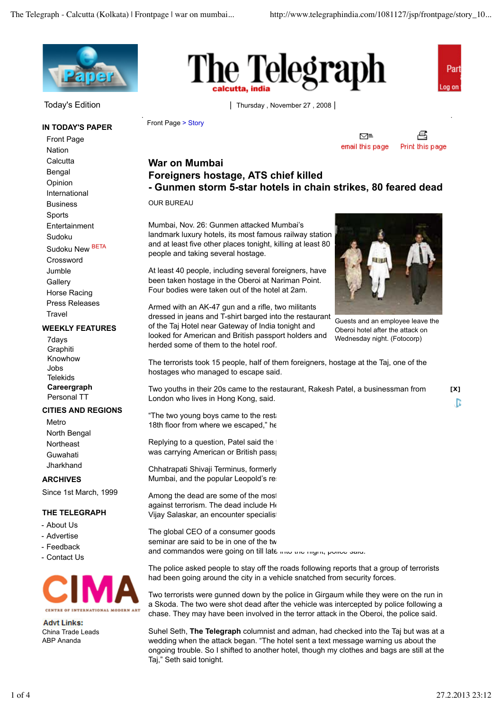

### **IN TODAY'S PAPER**

Front Page Nation **Calcutta** Bengal Opinion International Business Sports Entertainment Sudoku Sudoku New BETA Crossword Jumble **Gallerv** Horse Racing Press Releases **Travel** 

#### **WEEKLY FEATURES**

7days **Graphiti** Knowhow Jobs **Telekids Careergraph** Personal TT

### **CITIES AND REGIONS**

Metro North Bengal Northeast Guwahati **Jharkhand** 

### **ARCHIVES**

Since 1st March, 1999

### **THE TELEGRAPH**

- About Us
- Advertise
- Feedback
- Contact Us



**Advt Links:** China Trade Leads ABP Ananda





Today's Edition | Thursday, November 27, 2008 |

Front Page > Story

偊 ⊠≅ email this page Print this page

## **War on Mumbai Foreigners hostage, ATS chief killed - Gunmen storm 5-star hotels in chain strikes, 80 feared dead**

OUR BUREAU

Mumbai, Nov. 26: Gunmen attacked Mumbai's landmark luxury hotels, its most famous railway station and at least five other places tonight, killing at least 80 people and taking several hostage.

At least 40 people, including several foreigners, have been taken hostage in the Oberoi at Nariman Point. Four bodies were taken out of the hotel at 2am.

Armed with an AK-47 gun and a rifle, two militants dressed in jeans and T-shirt barged into the restaurant of the Taj Hotel near Gateway of India tonight and looked for American and British passport holders and herded some of them to the hotel roof.



Guests and an employee leave the Oberoi hotel after the attack on Wednesday night. (Fotocorp)

The terrorists took 15 people, half of them foreigners, hostage at the Taj, one of the hostages who managed to escape said.

Two youths in their 20s came to the restaurant, Rakesh Patel, a businessman from London who lives in Hong Kong, said.

"The two young boys came to the restall 18th floor from where we escaped," he

Replying to a question, Patel said the was carrying American or British pass

Chhatrapati Shivaji Terminus, formerly Mumbai, and the popular Leopold's read-

Among the dead are some of the most against terrorism. The dead include Heman Vijay Salaskar, an encounter specialis

The global CEO of a consumer goods seminar are said to be in one of the two and commandos were going on till late microle ingit, police said.

The police asked people to stay off the roads following reports that a group of terrorists had been going around the city in a vehicle snatched from security forces.

Two terrorists were gunned down by the police in Girgaum while they were on the run in a Skoda. The two were shot dead after the vehicle was intercepted by police following a chase. They may have been involved in the terror attack in the Oberoi, the police said.

Suhel Seth, **The Telegraph** columnist and adman, had checked into the Taj but was at a wedding when the attack began. "The hotel sent a text message warning us about the ongoing trouble. So I shifted to another hotel, though my clothes and bags are still at the Taj," Seth said tonight.

**[X]**

B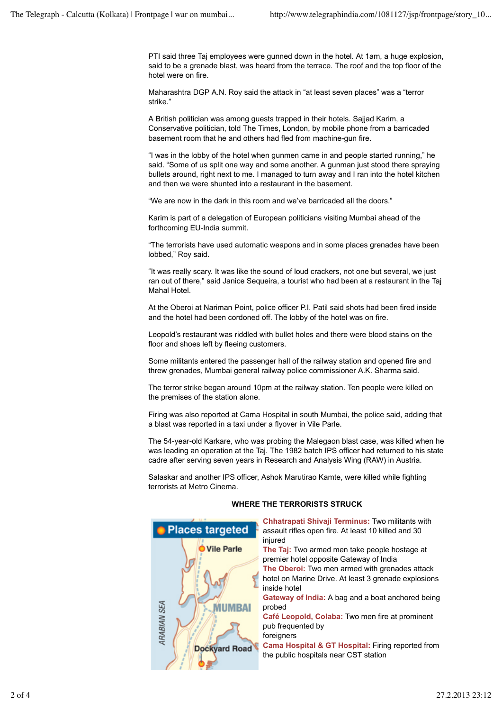PTI said three Taj employees were gunned down in the hotel. At 1am, a huge explosion, said to be a grenade blast, was heard from the terrace. The roof and the top floor of the hotel were on fire.

Maharashtra DGP A.N. Roy said the attack in "at least seven places" was a "terror strike."

A British politician was among guests trapped in their hotels. Sajjad Karim, a Conservative politician, told The Times, London, by mobile phone from a barricaded basement room that he and others had fled from machine-gun fire.

"I was in the lobby of the hotel when gunmen came in and people started running," he said. "Some of us split one way and some another. A gunman just stood there spraying bullets around, right next to me. I managed to turn away and I ran into the hotel kitchen and then we were shunted into a restaurant in the basement.

"We are now in the dark in this room and we've barricaded all the doors."

Karim is part of a delegation of European politicians visiting Mumbai ahead of the forthcoming EU-India summit.

"The terrorists have used automatic weapons and in some places grenades have been lobbed," Roy said.

"It was really scary. It was like the sound of loud crackers, not one but several, we just ran out of there," said Janice Sequeira, a tourist who had been at a restaurant in the Taj Mahal Hotel.

At the Oberoi at Nariman Point, police officer P.I. Patil said shots had been fired inside and the hotel had been cordoned off. The lobby of the hotel was on fire.

Leopold's restaurant was riddled with bullet holes and there were blood stains on the floor and shoes left by fleeing customers.

Some militants entered the passenger hall of the railway station and opened fire and threw grenades, Mumbai general railway police commissioner A.K. Sharma said.

The terror strike began around 10pm at the railway station. Ten people were killed on the premises of the station alone.

Firing was also reported at Cama Hospital in south Mumbai, the police said, adding that a blast was reported in a taxi under a flyover in Vile Parle.

The 54-year-old Karkare, who was probing the Malegaon blast case, was killed when he was leading an operation at the Taj. The 1982 batch IPS officer had returned to his state cadre after serving seven years in Research and Analysis Wing (RAW) in Austria.

Salaskar and another IPS officer, Ashok Marutirao Kamte, were killed while fighting terrorists at Metro Cinema.



### **WHERE THE TERRORISTS STRUCK**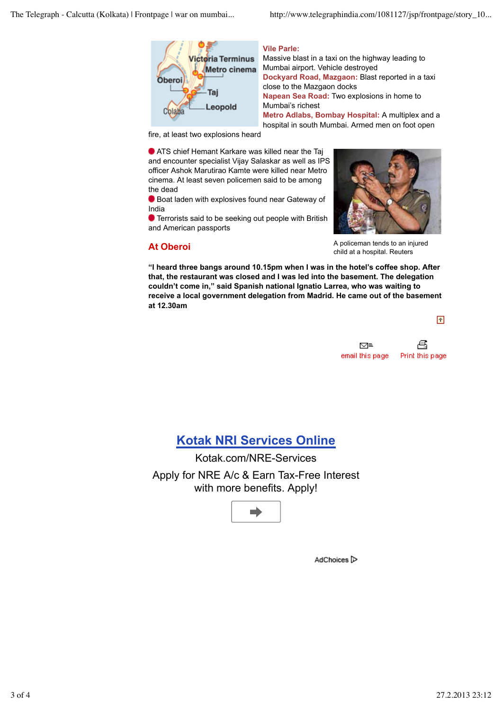

### **Vile Parle:**

Massive blast in a taxi on the highway leading to Mumbai airport. Vehicle destroyed **Dockyard Road, Mazgaon:** Blast reported in a taxi close to the Mazgaon docks **Napean Sea Road:** Two explosions in home to Mumbai's richest **Metro Adlabs, Bombay Hospital:** A multiplex and a hospital in south Mumbai. Armed men on foot open

fire, at least two explosions heard

 ATS chief Hemant Karkare was killed near the Taj and encounter specialist Vijay Salaskar as well as IPS officer Ashok Marutirao Kamte were killed near Metro cinema. At least seven policemen said to be among the dead

Boat laden with explosives found near Gateway of India

**O** Terrorists said to be seeking out people with British and American passports

### **At Oberoi**



A policeman tends to an injured child at a hospital. Reuters

**"I heard three bangs around 10.15pm when I was in the hotel's coffee shop. After that, the restaurant was closed and I was led into the basement. The delegation couldn't come in," said Spanish national Ignatio Larrea, who was waiting to receive a local government delegation from Madrid. He came out of the basement at 12.30am**

不



# **Kotak NRI Services Online**

Kotak.com/NRE-Services Apply for NRE A/c & Earn Tax-Free Interest with more benefits. Apply!



AdChoices<sup>1</sup>